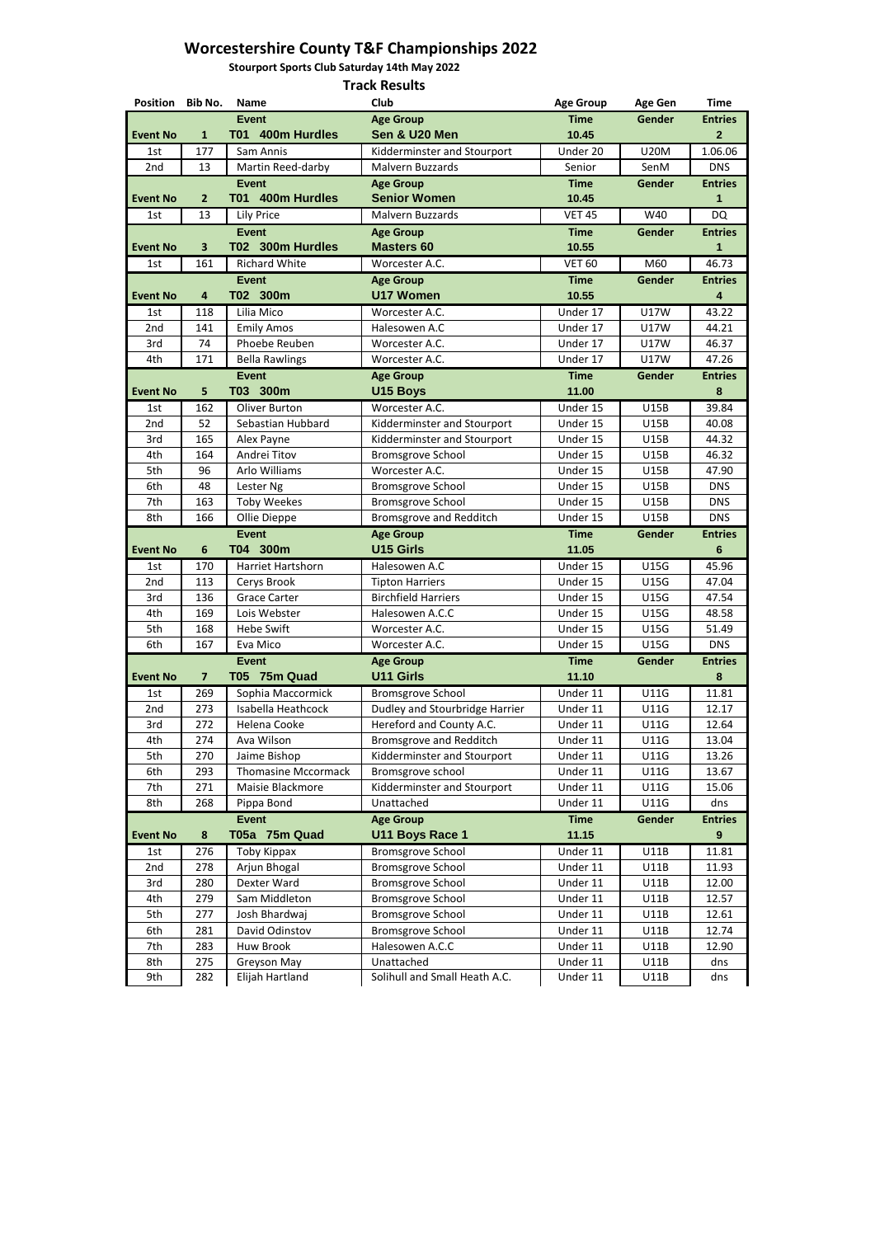**Stourport Sports Club Saturday 14th May 2022**

| Position Bib No. |                         | <b>Name</b>                        | Club                                                       | <b>Age Group</b>     | <b>Age Gen</b>      | <b>Time</b>    |
|------------------|-------------------------|------------------------------------|------------------------------------------------------------|----------------------|---------------------|----------------|
|                  |                         | <b>Event</b>                       | <b>Age Group</b>                                           | <b>Time</b>          | Gender              | <b>Entries</b> |
| <b>Event No</b>  | $\mathbf{1}$            | T01 400m Hurdles                   | Sen & U20 Men                                              | 10.45                |                     | $\mathbf{2}$   |
| 1st              | 177                     | Sam Annis                          | Kidderminster and Stourport                                | Under 20             | <b>U20M</b>         | 1.06.06        |
| 2nd              | 13                      | Martin Reed-darby                  | Malvern Buzzards                                           | Senior               | SenM                | <b>DNS</b>     |
|                  |                         | <b>Event</b>                       | <b>Age Group</b>                                           | <b>Time</b>          | <b>Gender</b>       | <b>Entries</b> |
| <b>Event No</b>  | $\overline{2}$          | T01 400m Hurdles                   | <b>Senior Women</b>                                        | 10.45                |                     | 1              |
| 1st              | 13                      | <b>Lily Price</b>                  | Malvern Buzzards                                           | <b>VET 45</b>        | W40                 | <b>DQ</b>      |
|                  |                         | <b>Event</b>                       | <b>Age Group</b>                                           | <b>Time</b>          | Gender              | <b>Entries</b> |
| <b>Event No</b>  | $\overline{\mathbf{3}}$ | T02 300m Hurdles                   | <b>Masters 60</b>                                          | 10.55                |                     | 1              |
| 1st              | 161                     | <b>Richard White</b>               | Worcester A.C.                                             | <b>VET 60</b>        | M60                 | 46.73          |
|                  |                         | <b>Event</b>                       | <b>Age Group</b>                                           | <b>Time</b>          | <b>Gender</b>       | <b>Entries</b> |
| <b>Event No</b>  | 4                       | T02 300m                           | <b>U17 Women</b>                                           | 10.55                |                     | 4              |
| 1st<br>2nd       | 118<br>141              | Lilia Mico                         | Worcester A.C.<br>Halesowen A.C                            | Under 17             | <b>U17W</b>         | 43.22<br>44.21 |
| 3rd              | 74                      | <b>Emily Amos</b><br>Phoebe Reuben | Worcester A.C.                                             | Under 17<br>Under 17 | <b>U17W</b><br>U17W | 46.37          |
| 4th              | 171                     | <b>Bella Rawlings</b>              | Worcester A.C.                                             | Under 17             | <b>U17W</b>         | 47.26          |
|                  |                         | <b>Event</b>                       | <b>Age Group</b>                                           | <b>Time</b>          | Gender              | <b>Entries</b> |
| <b>Event No</b>  | 5                       | T03 300m                           | <b>U15 Boys</b>                                            | 11.00                |                     | 8              |
| 1st              | 162                     | Oliver Burton                      | Worcester A.C.                                             | Under 15             | <b>U15B</b>         | 39.84          |
| 2nd              | 52                      | Sebastian Hubbard                  | Kidderminster and Stourport                                | Under 15             | <b>U15B</b>         | 40.08          |
| 3rd              | 165                     | Alex Payne                         | Kidderminster and Stourport                                | Under 15             | <b>U15B</b>         | 44.32          |
| 4th              | 164                     | Andrei Titov                       | <b>Bromsgrove School</b>                                   | Under 15             | <b>U15B</b>         | 46.32          |
| 5th              | 96                      | Arlo Williams                      | Worcester A.C.                                             | Under 15             | <b>U15B</b>         | 47.90          |
| 6th              | 48                      | Lester Ng                          | <b>Bromsgrove School</b>                                   | Under 15             | <b>U15B</b>         | <b>DNS</b>     |
| 7th              | 163                     | <b>Toby Weekes</b>                 | <b>Bromsgrove School</b>                                   | Under 15             | <b>U15B</b>         | <b>DNS</b>     |
| 8th              | 166                     | Ollie Dieppe                       | <b>Bromsgrove and Redditch</b>                             | Under 15             | <b>U15B</b>         | <b>DNS</b>     |
|                  |                         | <b>Event</b>                       | <b>Age Group</b>                                           | <b>Time</b>          | Gender              | <b>Entries</b> |
| <b>Event No</b>  | 6                       | T04 300m                           | <b>U15 Girls</b>                                           | 11.05                |                     | $6\phantom{1}$ |
| 1st              | 170                     | Harriet Hartshorn                  | Halesowen A.C                                              | Under 15             | <b>U15G</b>         | 45.96          |
| 2nd              | 113                     | Cerys Brook                        | <b>Tipton Harriers</b>                                     | Under 15             | <b>U15G</b>         | 47.04          |
| 3rd              | 136                     | <b>Grace Carter</b>                | <b>Birchfield Harriers</b>                                 | Under 15             | <b>U15G</b>         | 47.54          |
| 4th              | 169                     | Lois Webster                       | Halesowen A.C.C                                            | Under 15             | U15G                | 48.58          |
| 5th              | 168                     | <b>Hebe Swift</b>                  | Worcester A.C.                                             | Under 15             | <b>U15G</b>         | 51.49          |
| 6th              | 167                     | Eva Mico                           | Worcester A.C.                                             | Under 15             | <b>U15G</b>         | <b>DNS</b>     |
| <b>Event No</b>  | $\overline{7}$          | <b>Event</b><br>T05 75m Quad       | <b>Age Group</b><br><b>U11 Girls</b>                       | <b>Time</b><br>11.10 | Gender              | <b>Entries</b> |
|                  |                         | Sophia Maccormick                  |                                                            | Under 11             | <b>U11G</b>         | 8<br>11.81     |
| 1st<br>2nd       | 269<br>273              | Isabella Heathcock                 | <b>Bromsgrove School</b><br>Dudley and Stourbridge Harrier | Under 11             | U11G                | 12.17          |
| 3rd              | 272                     | Helena Cooke                       | Hereford and County A.C.                                   | Under 11             | U11G                | 12.64          |
| 4th              | 274                     | Ava Wilson                         | <b>Bromsgrove and Redditch</b>                             | Under 11             | U11G                | 13.04          |
| 5th              | 270                     | Jaime Bishop                       | Kidderminster and Stourport                                | Under 11             | U11G                | 13.26          |
| 6th              | 293                     | <b>Thomasine Mccormack</b>         | Bromsgrove school                                          | Under 11             | <b>U11G</b>         | 13.67          |
| 7th              | 271                     | Maisie Blackmore                   | Kidderminster and Stourport                                | Under 11             | U11G                | 15.06          |
| 8th              | 268                     | Pippa Bond                         | Unattached                                                 | Under 11             | <b>U11G</b>         | dns            |
|                  |                         | <b>Event</b>                       | <b>Age Group</b>                                           | <b>Time</b>          | Gender              | <b>Entries</b> |
| <b>Event No</b>  | 8                       | T05a 75m Quad                      | <b>U11 Boys Race 1</b>                                     | 11.15                |                     | 9              |
| 1st              | 276                     | Toby Kippax                        | <b>Bromsgrove School</b>                                   | Under 11             | U11B                | 11.81          |
| 2nd              | 278                     | Arjun Bhogal                       | <b>Bromsgrove School</b>                                   | Under 11             | U11B                | 11.93          |
| 3rd              | 280                     | Dexter Ward                        | <b>Bromsgrove School</b>                                   | Under 11             | U11B                | 12.00          |
| 4th              | 279                     | Sam Middleton                      | <b>Bromsgrove School</b>                                   | Under 11             | <b>U11B</b>         | 12.57          |
| 5th              | 277                     | Josh Bhardwaj                      | <b>Bromsgrove School</b>                                   | Under 11             | U11B                | 12.61          |
| 6th              | 281                     | David Odinstov                     | <b>Bromsgrove School</b>                                   | Under 11             | U11B                | 12.74          |
| 7th              | 283                     | Huw Brook                          | Halesowen A.C.C                                            | Under 11             | <b>U11B</b>         | 12.90          |
| 8th              | 275                     | Greyson May                        | Unattached                                                 | Under 11             | U11B                | dns            |
| $Q + h$          | າຂາ                     | Elijah Hartland                    | Solibull and Small Hoath A.C.                              | <b>Hnder 11</b>      | 1111R               | dne            |

| ノいー | ےں | $-11191$<br>----------- | <b>BELLING SHIGHT IN THE WILLING.</b> | UIKLI 11 | ◡⊥⊥◡ | ,,,,, |
|-----|----|-------------------------|---------------------------------------|----------|------|-------|
|     |    |                         |                                       |          |      |       |
|     |    |                         |                                       |          |      |       |

 $\mathbf{I}$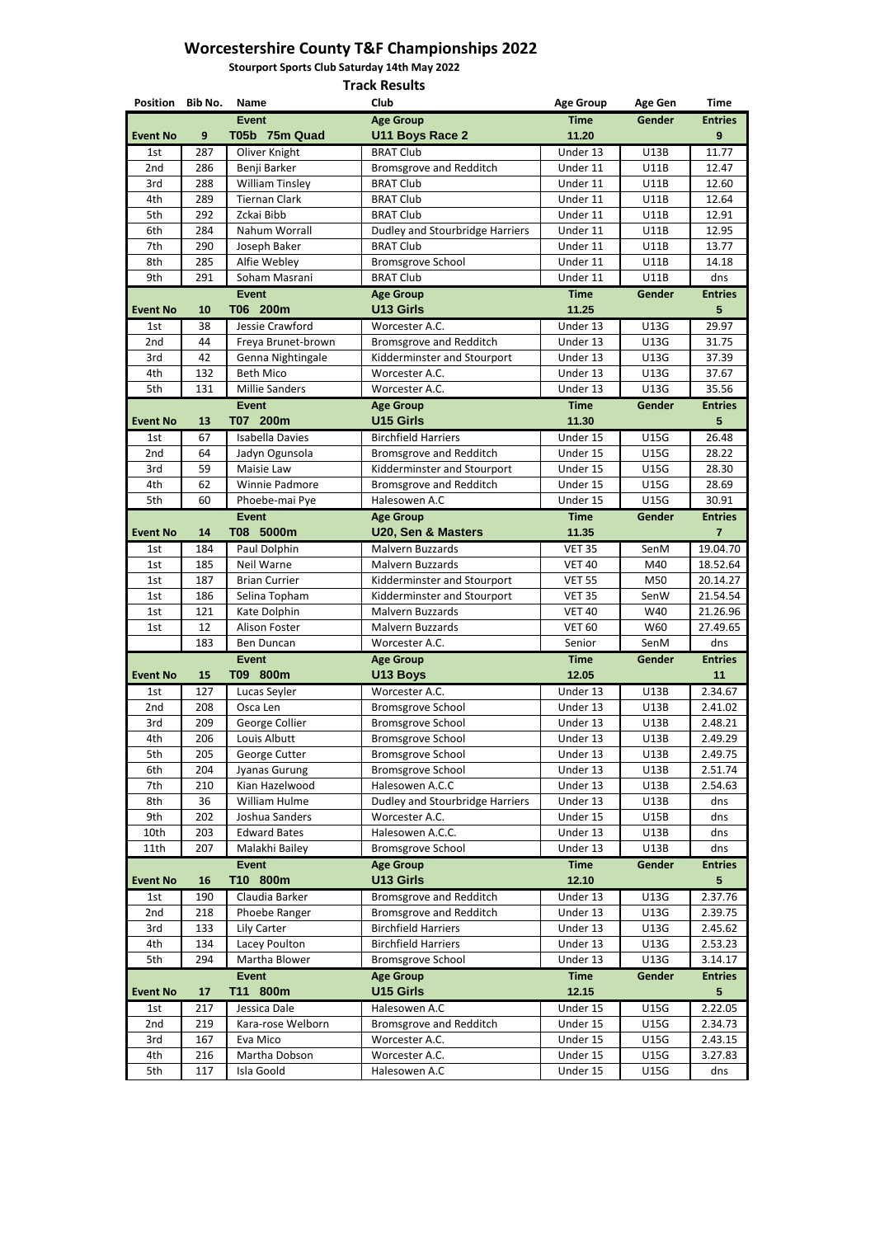**Stourport Sports Club Saturday 14th May 2022**

| Position Bib No. |            | <b>Name</b>              | Club                                       | <b>Age Group</b>     | <b>Age Gen</b>      | <b>Time</b>        |
|------------------|------------|--------------------------|--------------------------------------------|----------------------|---------------------|--------------------|
|                  |            | <b>Event</b>             | <b>Age Group</b>                           | <b>Time</b>          | Gender              | <b>Entries</b>     |
| <b>Event No</b>  | 9          | T05b 75m Quad            | <b>U11 Boys Race 2</b>                     | 11.20                |                     | 9                  |
| 1st              | 287        | Oliver Knight            | <b>BRAT Club</b>                           | Under 13             | <b>U13B</b>         | 11.77              |
| 2nd              | 286        | Benji Barker             | <b>Bromsgrove and Redditch</b>             | Under 11             | <b>U11B</b>         | 12.47              |
| 3rd              | 288        | <b>William Tinsley</b>   | <b>BRAT Club</b>                           | Under 11             | U11B                | 12.60              |
| 4th              | 289        | <b>Tiernan Clark</b>     | <b>BRAT Club</b>                           | Under 11             | <b>U11B</b>         | 12.64              |
| 5th              | 292        | Zckai Bibb               | <b>BRAT Club</b>                           | Under 11             | U11B                | 12.91              |
| 6th              | 284        | Nahum Worrall            | Dudley and Stourbridge Harriers            | Under 11             | <b>U11B</b>         | 12.95              |
| 7th              | 290        | Joseph Baker             | <b>BRAT Club</b>                           | Under 11             | <b>U11B</b>         | 13.77              |
| 8th              | 285        | Alfie Webley             | <b>Bromsgrove School</b>                   | Under 11             | <b>U11B</b>         | 14.18              |
| 9th              | 291        | Soham Masrani            | <b>BRAT Club</b>                           | Under 11             | <b>U11B</b>         | dns                |
|                  |            | <b>Event</b>             | <b>Age Group</b>                           | <b>Time</b>          | <b>Gender</b>       | <b>Entries</b>     |
| <b>Event No</b>  | 10         | T06 200m                 | <b>U13 Girls</b>                           | 11.25                |                     | 5                  |
| 1st              | 38         | Jessie Crawford          | Worcester A.C.                             | Under 13             | <b>U13G</b>         | 29.97              |
| 2nd              | 44         | Freya Brunet-brown       | <b>Bromsgrove and Redditch</b>             | Under 13             | U13G                | 31.75              |
| 3rd              | 42         | Genna Nightingale        | Kidderminster and Stourport                | Under 13             | <b>U13G</b>         | 37.39              |
| 4th              | 132        | <b>Beth Mico</b>         | Worcester A.C.                             | Under 13             | U13G                | 37.67              |
| 5th              | 131        | <b>Millie Sanders</b>    | Worcester A.C.                             | Under 13             | U13G                | 35.56              |
|                  |            | <b>Event</b>             | <b>Age Group</b>                           | <b>Time</b>          | Gender              | <b>Entries</b>     |
| <b>Event No</b>  | 13         | T07 200m                 | <b>U15 Girls</b>                           | 11.30                |                     | 5                  |
| 1st              | 67         | <b>Isabella Davies</b>   | <b>Birchfield Harriers</b>                 | Under 15             | <b>U15G</b>         | 26.48              |
| 2nd              | 64         | Jadyn Ogunsola           | <b>Bromsgrove and Redditch</b>             | Under 15             | <b>U15G</b>         | 28.22              |
| 3rd              | 59         | Maisie Law               | Kidderminster and Stourport                | Under 15             | <b>U15G</b>         | 28.30              |
| 4th              | 62         | Winnie Padmore           | <b>Bromsgrove and Redditch</b>             | Under 15             | <b>U15G</b>         | 28.69              |
| 5th              | 60         | Phoebe-mai Pye           | Halesowen A.C                              | Under 15             | <b>U15G</b>         | 30.91              |
|                  |            | <b>Event</b>             | <b>Age Group</b>                           | <b>Time</b>          | Gender              | <b>Entries</b>     |
| <b>Event No</b>  | 14         | T08 5000m                | U20, Sen & Masters                         | 11.35                |                     | 7                  |
| 1st              | 184        | Paul Dolphin             | Malvern Buzzards                           | <b>VET 35</b>        | SenM                | 19.04.70           |
| 1st              | 185        | Neil Warne               | Malvern Buzzards                           | <b>VET 40</b>        | M40                 | 18.52.64           |
| 1st              | 187        | <b>Brian Currier</b>     | Kidderminster and Stourport                | <b>VET 55</b>        | M50                 | 20.14.27           |
| 1st              | 186        | Selina Topham            | Kidderminster and Stourport                | <b>VET 35</b>        | SenW                | 21.54.54           |
| 1st              | 121        | Kate Dolphin             | Malvern Buzzards                           | <b>VET 40</b>        | W40                 | 21.26.96           |
| 1st              | 12         | Alison Foster            | Malvern Buzzards                           | <b>VET 60</b>        | W60                 | 27.49.65           |
|                  | 183        | Ben Duncan               | Worcester A.C.                             | Senior               | SenM                | dns                |
|                  |            | <b>Event</b>             | <b>Age Group</b>                           | <b>Time</b>          | Gender              | <b>Entries</b>     |
| <b>Event No</b>  | <b>15</b>  | T09 800m                 | U13 Boys                                   | 12.05                |                     | 11                 |
| 1st<br>2nd       | 127<br>208 | Lucas Seyler<br>Osca Len | Worcester A.C.<br><b>Bromsgrove School</b> | Under 13<br>Under 13 | U13B<br><b>U13B</b> | 2.34.67<br>2.41.02 |
| 3rd              | 209        | George Collier           | <b>Bromsgrove School</b>                   | Under 13             | <b>U13B</b>         | 2.48.21            |
| 4th              | 206        | Louis Albutt             | <b>Bromsgrove School</b>                   | Under 13             | U13B                | 2.49.29            |
| 5th              | 205        | George Cutter            | <b>Bromsgrove School</b>                   | Under 13             | U13B                | 2.49.75            |
| 6th              | 204        | Jyanas Gurung            | <b>Bromsgrove School</b>                   | Under 13             | U13B                | 2.51.74            |
| 7th              | 210        | Kian Hazelwood           | Halesowen A.C.C                            | Under 13             | U13B                | 2.54.63            |
| 8th              | 36         | William Hulme            | Dudley and Stourbridge Harriers            | Under 13             | <b>U13B</b>         | dns                |
| 9th              | 202        | Joshua Sanders           | Worcester A.C.                             | Under 15             | <b>U15B</b>         | dns                |
| 10th             | 203        | <b>Edward Bates</b>      | Halesowen A.C.C.                           | Under 13             | <b>U13B</b>         | dns                |
| 11th             | 207        | Malakhi Bailey           | <b>Bromsgrove School</b>                   | Under 13             | U13B                | dns                |
|                  |            | <b>Event</b>             | <b>Age Group</b>                           | <b>Time</b>          | Gender              | <b>Entries</b>     |
| <b>Event No</b>  | 16         | T10 800m                 | <b>U13 Girls</b>                           | 12.10                |                     | 5                  |
| 1st              | 190        | Claudia Barker           | <b>Bromsgrove and Redditch</b>             | Under 13             | U13G                | 2.37.76            |
| 2nd              | 218        | Phoebe Ranger            | <b>Bromsgrove and Redditch</b>             | Under 13             | U13G                | 2.39.75            |
| 3rd              | 133        | Lily Carter              | <b>Birchfield Harriers</b>                 | Under 13             | U13G                | 2.45.62            |
| 4th              | 134        | Lacey Poulton            | <b>Birchfield Harriers</b>                 | Under 13             | U13G                | 2.53.23            |
| 5th              | 294        | Martha Blower            | <b>Bromsgrove School</b>                   | Under 13             | U13G                | 3.14.17            |
|                  |            | <b>Event</b>             | <b>Age Group</b>                           | <b>Time</b>          | Gender              | <b>Entries</b>     |
| <b>Event No</b>  | 17         | T11 800m                 | <b>U15 Girls</b>                           | 12.15                |                     | 5                  |
| 1st              | 217        | Jessica Dale             | Halesowen A.C                              | Under 15             | <b>U15G</b>         | 2.22.05            |
| 2nd              | 219        | Kara-rose Welborn        | <b>Bromsgrove and Redditch</b>             | Under 15             | <b>U15G</b>         | 2.34.73            |
| 3rd              | 167        | Eva Mico                 | Worcester A.C.                             | Under 15             | <b>U15G</b>         | 2.43.15            |
| 4th              | 216        | Martha Dobson            | Worcester A.C.                             | Under 15             | <b>U15G</b>         | 3.27.83            |
| 5th              | 117        | Isla Goold               | Halesowen A.C                              | Under 15             | <b>U15G</b>         | dns                |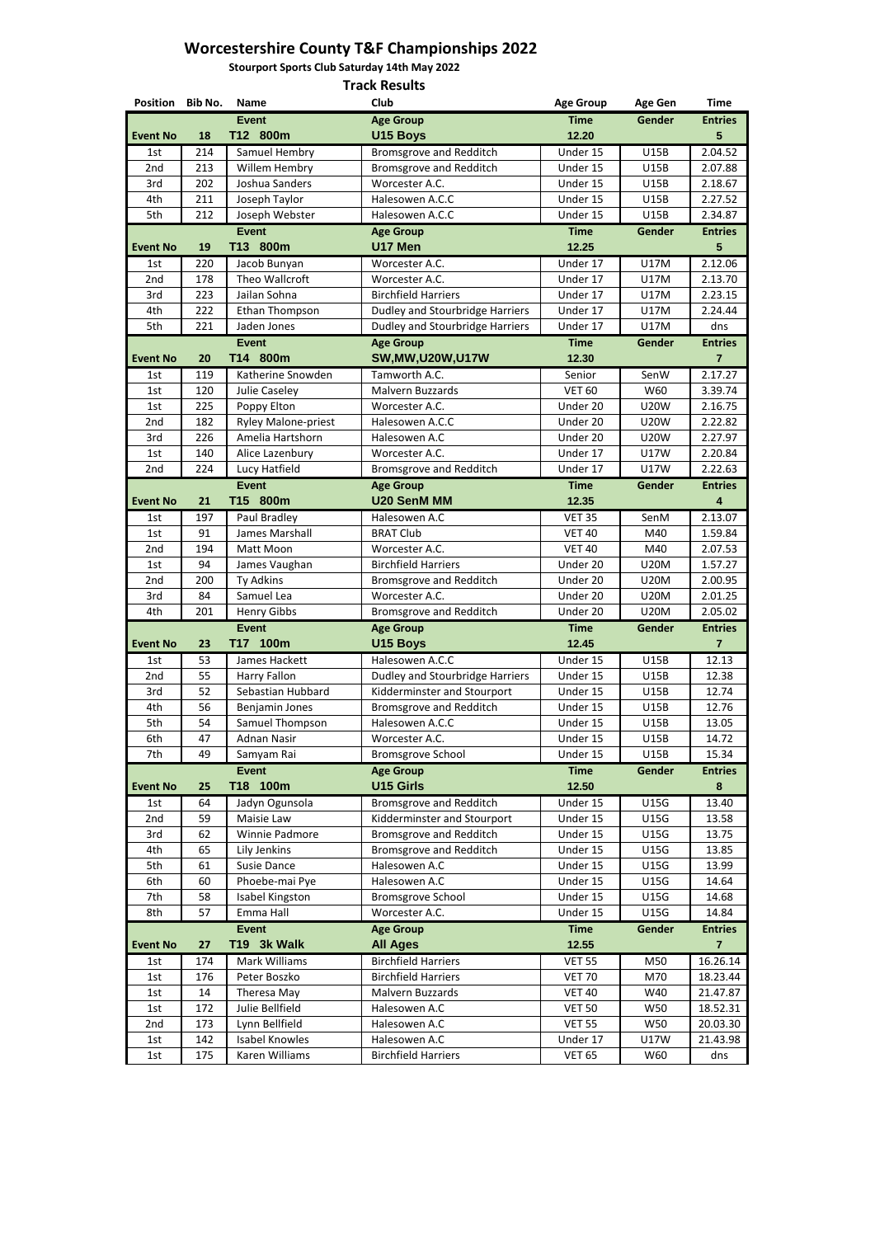**Stourport Sports Club Saturday 14th May 2022**

| Position Bib No. |            | <b>Name</b>                        | Club                                                                             | <b>Age Group</b>        | <b>Age Gen</b>             | <b>Time</b>                      |
|------------------|------------|------------------------------------|----------------------------------------------------------------------------------|-------------------------|----------------------------|----------------------------------|
|                  |            | <b>Event</b>                       | <b>Age Group</b>                                                                 | <b>Time</b>             | Gender                     | <b>Entries</b>                   |
| <b>Event No</b>  | 18         | T12 800m                           | <b>U15 Boys</b>                                                                  | 12.20                   |                            | 5                                |
| 1st              | 214        | Samuel Hembry                      | <b>Bromsgrove and Redditch</b>                                                   | Under 15                | <b>U15B</b>                | 2.04.52                          |
| 2nd              | 213        | Willem Hembry                      | <b>Bromsgrove and Redditch</b>                                                   | Under 15                | <b>U15B</b>                | 2.07.88                          |
| 3rd              | 202        | Joshua Sanders                     | Worcester A.C.                                                                   | Under 15                | <b>U15B</b>                | 2.18.67                          |
| 4th              | 211        | Joseph Taylor                      | Halesowen A.C.C                                                                  | Under 15                | <b>U15B</b>                | 2.27.52                          |
| 5th              | 212        | Joseph Webster                     | Halesowen A.C.C                                                                  | Under 15                | <b>U15B</b>                | 2.34.87                          |
|                  |            | <b>Event</b>                       | <b>Age Group</b>                                                                 | <b>Time</b>             | Gender                     | <b>Entries</b>                   |
| <b>Event No</b>  | 19         | T13 800m                           | U17 Men                                                                          | 12.25                   |                            | $5\phantom{.}$                   |
| 1st              | 220        | Jacob Bunyan                       | Worcester A.C.                                                                   | Under 17                | <b>U17M</b>                | 2.12.06                          |
| 2nd              | 178        | Theo Wallcroft                     | Worcester A.C.                                                                   | Under 17                | <b>U17M</b>                | 2.13.70                          |
| 3rd              | 223        | Jailan Sohna                       | <b>Birchfield Harriers</b>                                                       | Under 17                | <b>U17M</b>                | 2.23.15                          |
| 4th<br>5th       | 222<br>221 | Ethan Thompson<br>Jaden Jones      | <b>Dudley and Stourbridge Harriers</b><br><b>Dudley and Stourbridge Harriers</b> | Under 17<br>Under 17    | <b>U17M</b><br><b>U17M</b> | 2.24.44<br>dns                   |
|                  |            | <b>Event</b>                       |                                                                                  |                         |                            |                                  |
| <b>Event No</b>  | 20         | T14 800m                           | <b>Age Group</b><br><b>SW, MW, U20W, U17W</b>                                    | <b>Time</b><br>12.30    | Gender                     | <b>Entries</b><br>$\overline{7}$ |
|                  |            |                                    | Tamworth A.C.                                                                    |                         | SenW                       | 2.17.27                          |
| 1st<br>1st       | 119<br>120 | Katherine Snowden<br>Julie Caseley | Malvern Buzzards                                                                 | Senior<br><b>VET 60</b> | W60                        | 3.39.74                          |
| 1st              | 225        | Poppy Elton                        | Worcester A.C.                                                                   | Under 20                | <b>U20W</b>                | 2.16.75                          |
| 2nd              | 182        | <b>Ryley Malone-priest</b>         | Halesowen A.C.C                                                                  | Under 20                | <b>U20W</b>                | 2.22.82                          |
| 3rd              | 226        | Amelia Hartshorn                   | Halesowen A.C                                                                    | Under 20                | <b>U20W</b>                | 2.27.97                          |
| 1st              | 140        | Alice Lazenbury                    | Worcester A.C.                                                                   | Under 17                | <b>U17W</b>                | 2.20.84                          |
| 2nd              | 224        | Lucy Hatfield                      | <b>Bromsgrove and Redditch</b>                                                   | Under 17                | <b>U17W</b>                | 2.22.63                          |
|                  |            | <b>Event</b>                       | <b>Age Group</b>                                                                 | <b>Time</b>             | Gender                     | <b>Entries</b>                   |
| <b>Event No</b>  | 21         | T15 800m                           | <b>U20 SenM MM</b>                                                               | 12.35                   |                            | 4                                |
| 1st              | 197        | Paul Bradley                       | Halesowen A.C                                                                    | <b>VET 35</b>           | SenM                       | 2.13.07                          |
| 1st              | 91         | James Marshall                     | <b>BRAT Club</b>                                                                 | <b>VET 40</b>           | M40                        | 1.59.84                          |
| 2nd              | 194        | Matt Moon                          | Worcester A.C.                                                                   | <b>VET 40</b>           | M40                        | 2.07.53                          |
| 1st              | 94         | James Vaughan                      | <b>Birchfield Harriers</b>                                                       | Under 20                | <b>U20M</b>                | 1.57.27                          |
| 2nd              | 200        | Ty Adkins                          | Bromsgrove and Redditch                                                          | Under 20                | <b>U20M</b>                | 2.00.95                          |
| 3rd              | 84         | Samuel Lea                         | Worcester A.C.                                                                   | Under 20                | <b>U20M</b>                | 2.01.25                          |
| 4th              | 201        | <b>Henry Gibbs</b>                 | <b>Bromsgrove and Redditch</b>                                                   | Under 20                | <b>U20M</b>                | 2.05.02                          |
|                  |            | <b>Event</b>                       | <b>Age Group</b>                                                                 | <b>Time</b>             | Gender                     | <b>Entries</b>                   |
| <b>Event No</b>  | 23         | T17 100m                           | <b>U15 Boys</b>                                                                  | 12.45                   |                            | $\overline{7}$                   |
| 1st              | 53         | James Hackett                      | Halesowen A.C.C                                                                  | Under 15                | <b>U15B</b>                | 12.13                            |
| 2nd              | 55         | <b>Harry Fallon</b>                | Dudley and Stourbridge Harriers                                                  | Under 15                | <b>U15B</b>                | 12.38                            |
| 3rd              | 52         | Sebastian Hubbard                  | Kidderminster and Stourport                                                      | Under 15                | <b>U15B</b>                | 12.74                            |
| 4th              | 56         | Benjamin Jones                     | <b>Bromsgrove and Redditch</b>                                                   | Under 15                | <b>U15B</b>                | 12.76                            |
| 5th              | 54         | Samuel Thompson                    | Halesowen A.C.C                                                                  | Under 15                | <b>U15B</b>                | 13.05                            |
| 6th              | 47         | <b>Adnan Nasir</b>                 | Worcester A.C.                                                                   | Under 15                | <b>U15B</b>                | 14.72                            |
| 7th              | 49         | Samyam Rai                         | <b>Bromsgrove School</b>                                                         | Under 15                | <b>U15B</b>                | 15.34                            |
|                  |            | <b>Event</b>                       | <b>Age Group</b>                                                                 | <b>Time</b>             | Gender                     | <b>Entries</b>                   |
| <b>Event No</b>  | 25         | T18 100m                           | <b>U15 Girls</b>                                                                 | 12.50                   |                            | 8                                |
| 1st              | 64         | Jadyn Ogunsola                     | <b>Bromsgrove and Redditch</b>                                                   | Under 15                | <b>U15G</b>                | 13.40                            |
| 2nd              | 59         | Maisie Law                         | Kidderminster and Stourport                                                      | Under 15                | <b>U15G</b>                | 13.58                            |
| 3rd              | 62         | <b>Winnie Padmore</b>              | <b>Bromsgrove and Redditch</b>                                                   | Under 15                | <b>U15G</b>                | 13.75                            |
| 4th              | 65         | Lily Jenkins                       | <b>Bromsgrove and Redditch</b>                                                   | Under 15                | <b>U15G</b>                | 13.85                            |
| 5th              | 61         | <b>Susie Dance</b>                 | Halesowen A.C                                                                    | Under 15                | <b>U15G</b>                | 13.99                            |
| 6th              | 60         | Phoebe-mai Pye                     | Halesowen A.C                                                                    | Under 15                | <b>U15G</b>                | 14.64                            |
| 7th              | 58<br>57   | Isabel Kingston                    | <b>Bromsgrove School</b>                                                         | Under 15                | <b>U15G</b>                | 14.68                            |
| 8th              |            | Emma Hall                          | Worcester A.C.                                                                   | Under 15                | <b>U15G</b>                | 14.84                            |
| <b>Event No</b>  | 27         | <b>Event</b><br>T19 3k Walk        | <b>Age Group</b><br><b>All Ages</b>                                              | <b>Time</b><br>12.55    | Gender                     | <b>Entries</b><br>$\overline{7}$ |
| 1st              | 174        | Mark Williams                      | <b>Birchfield Harriers</b>                                                       | <b>VET 55</b>           | M50                        | 16.26.14                         |
| 1st              | 176        | Peter Boszko                       | <b>Birchfield Harriers</b>                                                       | <b>VET 70</b>           | M70                        | 18.23.44                         |
| 1st              | 14         | Theresa May                        | Malvern Buzzards                                                                 | <b>VET 40</b>           | W40                        | 21.47.87                         |
| 1st              | 172        | Julie Bellfield                    | Halesowen A.C                                                                    | <b>VET 50</b>           | W50                        | 18.52.31                         |
| 2nd              | 173        | Lynn Bellfield                     | Halesowen A.C                                                                    | <b>VET 55</b>           | W50                        | 20.03.30                         |
| 1st              | 142        | <b>Isabel Knowles</b>              | Halesowen A.C                                                                    | Under 17                | <b>U17W</b>                | 21.43.98                         |
| 1st              | 175        | Karen Williams                     | <b>Birchfield Harriers</b>                                                       | <b>VET 65</b>           | W60                        | dns                              |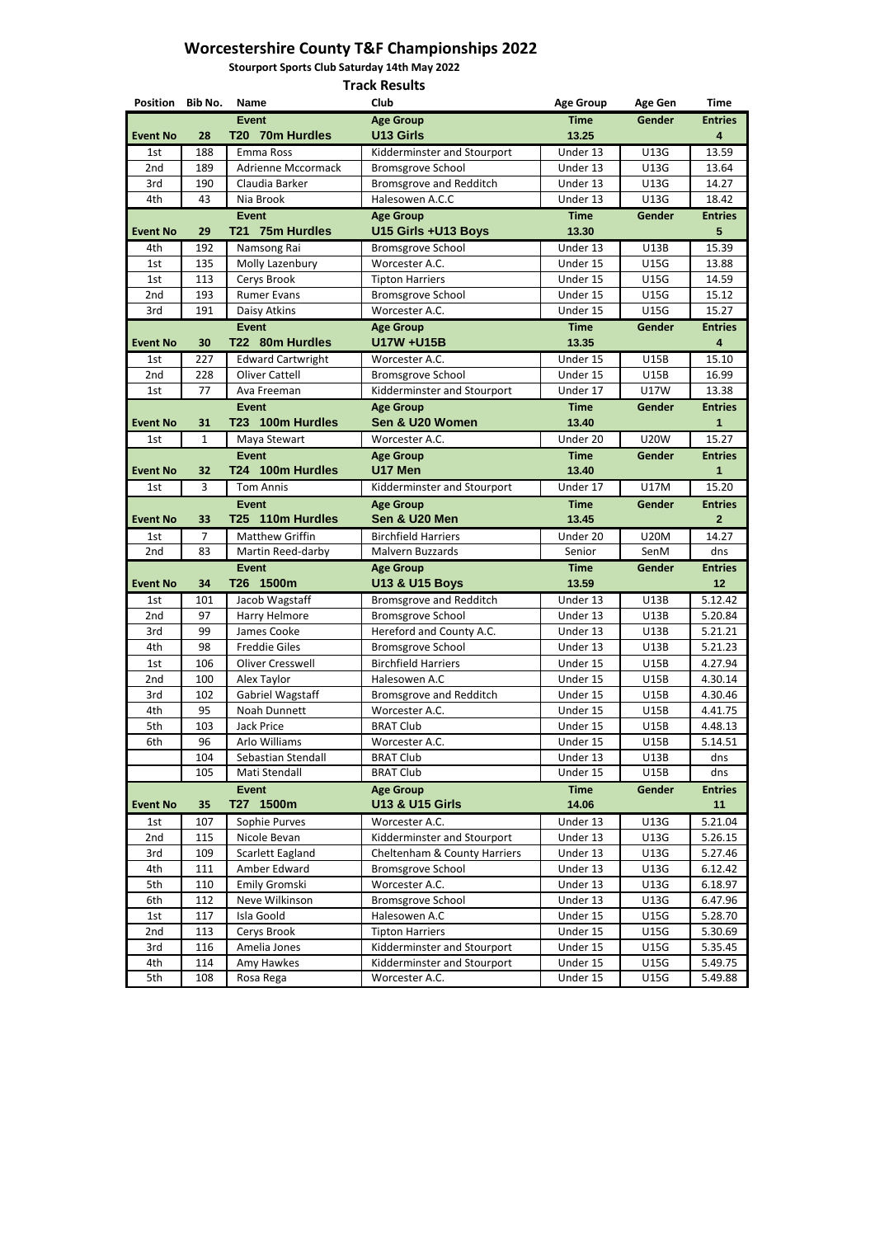**Stourport Sports Club Saturday 14th May 2022**

| Position Bib No. |              | <b>Name</b>                                       | <b>Club</b>                                                    | <b>Age Group</b>     | <b>Age Gen</b>             | <b>Time</b>        |
|------------------|--------------|---------------------------------------------------|----------------------------------------------------------------|----------------------|----------------------------|--------------------|
|                  |              | <b>Event</b>                                      | <b>Age Group</b>                                               | <b>Time</b>          | Gender                     | <b>Entries</b>     |
| <b>Event No</b>  | 28           | T20 70m Hurdles                                   | <b>U13 Girls</b>                                               | 13.25                |                            | 4                  |
| 1st              | 188          | Emma Ross                                         | Kidderminster and Stourport                                    | Under 13             | U13G                       | 13.59              |
| 2nd              | 189          | <b>Adrienne Mccormack</b>                         | <b>Bromsgrove School</b>                                       | Under 13             | U13G                       | 13.64              |
| 3rd              | 190          | Claudia Barker                                    | <b>Bromsgrove and Redditch</b>                                 | Under 13             | U13G                       | 14.27              |
| 4th              | 43           | Nia Brook                                         | Halesowen A.C.C                                                | Under 13             | U13G                       | 18.42              |
|                  |              | <b>Event</b>                                      | <b>Age Group</b>                                               | <b>Time</b>          | Gender                     | <b>Entries</b>     |
| <b>Event No</b>  | 29           | T21 75m Hurdles                                   | U15 Girls +U13 Boys                                            | 13.30                |                            | 5                  |
| 4th              | 192          | Namsong Rai                                       | <b>Bromsgrove School</b>                                       | Under 13             | U13B                       | 15.39              |
| 1st              | 135          | Molly Lazenbury                                   | Worcester A.C.                                                 | Under 15             | <b>U15G</b>                | 13.88              |
| 1st              | 113          | Cerys Brook                                       | <b>Tipton Harriers</b>                                         | Under 15             | <b>U15G</b>                | 14.59              |
| 2nd              | 193          | <b>Rumer Evans</b>                                | <b>Bromsgrove School</b>                                       | Under 15             | <b>U15G</b>                | 15.12              |
| 3rd              | 191          | Daisy Atkins                                      | Worcester A.C.                                                 | Under 15             | <b>U15G</b>                | 15.27              |
|                  |              | <b>Event</b>                                      | <b>Age Group</b><br>U17W +U15B                                 | <b>Time</b>          | <b>Gender</b>              | <b>Entries</b>     |
| <b>Event No</b>  | 30           | T22 80m Hurdles                                   |                                                                | 13.35                |                            | 4                  |
| 1st              | 227          | <b>Edward Cartwright</b><br><b>Oliver Cattell</b> | Worcester A.C.                                                 | Under 15             | <b>U15B</b>                | 15.10              |
| 2nd<br>1st       | 228<br>77    | Ava Freeman                                       | <b>Bromsgrove School</b><br><b>Kidderminster and Stourport</b> | Under 15<br>Under 17 | <b>U15B</b><br><b>U17W</b> | 16.99<br>13.38     |
|                  |              | <b>Event</b>                                      | <b>Age Group</b>                                               | <b>Time</b>          | Gender                     | <b>Entries</b>     |
| <b>Event No</b>  | 31           | T23 100m Hurdles                                  | Sen & U20 Women                                                | 13.40                |                            | 1                  |
| 1st              | $\mathbf{1}$ | Maya Stewart                                      | Worcester A.C.                                                 | Under 20             | <b>U20W</b>                | 15.27              |
|                  |              | <b>Event</b>                                      | <b>Age Group</b>                                               | <b>Time</b>          | Gender                     | <b>Entries</b>     |
| <b>Event No</b>  | 32           | T24 100m Hurdles                                  | U17 Men                                                        | 13.40                |                            | 1                  |
| 1st              | 3            | <b>Tom Annis</b>                                  | Kidderminster and Stourport                                    | Under 17             | <b>U17M</b>                | 15.20              |
|                  |              | <b>Event</b>                                      | <b>Age Group</b>                                               | <b>Time</b>          | <b>Gender</b>              | <b>Entries</b>     |
| <b>Event No</b>  | 33           | T25 110m Hurdles                                  | Sen & U20 Men                                                  | 13.45                |                            | $\mathbf{2}$       |
| 1st              | 7            | <b>Matthew Griffin</b>                            | <b>Birchfield Harriers</b>                                     | Under 20             | <b>U20M</b>                | 14.27              |
| 2nd              | 83           | Martin Reed-darby                                 | Malvern Buzzards                                               | Senior               | SenM                       | dns                |
|                  |              | <b>Event</b>                                      | <b>Age Group</b>                                               | <b>Time</b>          | Gender                     | <b>Entries</b>     |
| <b>Event No</b>  | 34           | T26 1500m                                         | <b>U13 &amp; U15 Boys</b>                                      | 13.59                |                            | 12                 |
| 1st              | 101          | Jacob Wagstaff                                    | <b>Bromsgrove and Redditch</b>                                 | Under 13             | U13B                       | 5.12.42            |
| 2nd              | 97           | Harry Helmore                                     | <b>Bromsgrove School</b>                                       | Under 13             | <b>U13B</b>                | 5.20.84            |
| 3rd              | 99           | James Cooke                                       | Hereford and County A.C.                                       | Under 13             | U13B                       | 5.21.21            |
| 4th              | 98           | <b>Freddie Giles</b>                              | <b>Bromsgrove School</b>                                       | Under 13             | U13B                       | 5.21.23            |
| 1st              | 106          | <b>Oliver Cresswell</b>                           | <b>Birchfield Harriers</b>                                     | Under 15             | <b>U15B</b>                | 4.27.94            |
| 2nd              | 100          | Alex Taylor                                       | Halesowen A.C                                                  | Under 15             | <b>U15B</b>                | 4.30.14            |
| 3rd              | 102          | Gabriel Wagstaff                                  | <b>Bromsgrove and Redditch</b>                                 | Under 15             | <b>U15B</b>                | 4.30.46            |
| 4th              | 95           | Noah Dunnett                                      | Worcester A.C.                                                 | Under 15             | U15B                       | 4.41.75            |
| 5th              | 103          | <b>Jack Price</b>                                 | <b>BRAT Club</b>                                               | Under 15             | <b>U15B</b>                | 4.48.13            |
| 6th              | 96           | Arlo Williams                                     | Worcester A.C.                                                 | Under 15             | <b>U15B</b>                | 5.14.51            |
|                  | 104          | Sebastian Stendall                                | <b>BRAT Club</b>                                               | Under 13             | U13B                       | dns                |
|                  | 105          | Mati Stendall                                     | <b>BRAT Club</b>                                               | Under 15             | <b>U15B</b>                | dns                |
|                  |              | <b>Event</b><br>T27 1500m                         | <b>Age Group</b>                                               | <b>Time</b>          | Gender                     | <b>Entries</b>     |
| <b>Event No</b>  | 35           |                                                   | <b>U13 &amp; U15 Girls</b>                                     | 14.06                |                            | 11                 |
| 1st              | 107          | Sophie Purves                                     | Worcester A.C.                                                 | Under 13             | U13G                       | 5.21.04            |
| 2nd              | 115          | Nicole Bevan                                      | Kidderminster and Stourport                                    | Under 13             | U13G                       | 5.26.15            |
| 3rd<br>4th       | 109<br>111   | Scarlett Eagland<br>Amber Edward                  | Cheltenham & County Harriers<br><b>Bromsgrove School</b>       | Under 13<br>Under 13 | U13G<br>U13G               | 5.27.46<br>6.12.42 |
| 5th              | 110          | Emily Gromski                                     | Worcester A.C.                                                 | Under 13             | U13G                       | 6.18.97            |
| 6th              | 112          | Neve Wilkinson                                    | <b>Bromsgrove School</b>                                       | Under 13             | U13G                       | 6.47.96            |
| 1st              | 117          | Isla Goold                                        | Halesowen A.C                                                  | Under 15             | <b>U15G</b>                | 5.28.70            |
| 2nd              | 113          | Cerys Brook                                       | <b>Tipton Harriers</b>                                         | Under 15             | <b>U15G</b>                | 5.30.69            |
| 3rd              | 116          | Amelia Jones                                      | Kidderminster and Stourport                                    | Under 15             | U15G                       | 5.35.45            |
| 4th              | 114          | Amy Hawkes                                        | Kidderminster and Stourport                                    | Under 15             | <b>U15G</b>                | 5.49.75            |
| mata.            | 100          | Desa Desa                                         | $M$ exector $\Lambda$ C                                        | $11a$ d $a$ a 4 F    | 114E <sub>C</sub>          | $F$ 40.00          |

| $\overline{\phantom{0}}$<br>5th | 108 | Rega<br>Rosa | Worcester<br><sup>∼r</sup> A.∟. - | Jnder<br>. | U15G | .49.88 |
|---------------------------------|-----|--------------|-----------------------------------|------------|------|--------|
|---------------------------------|-----|--------------|-----------------------------------|------------|------|--------|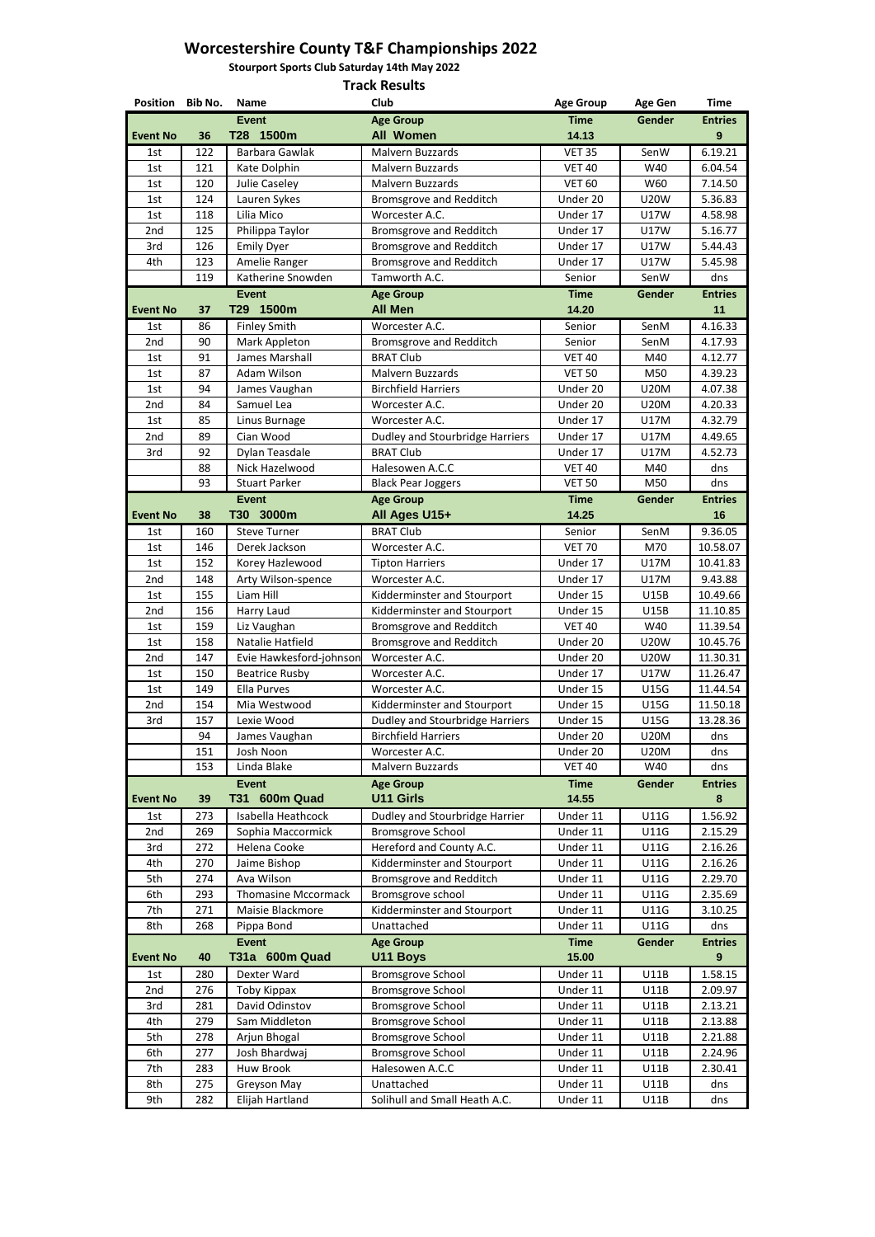**Stourport Sports Club Saturday 14th May 2022**

| Position Bib No. |            | <b>Name</b>                  | Club                                                    | <b>Age Group</b>     | <b>Age Gen</b>             | <b>Time</b>          |
|------------------|------------|------------------------------|---------------------------------------------------------|----------------------|----------------------------|----------------------|
|                  |            | <b>Event</b>                 | <b>Age Group</b>                                        | <b>Time</b>          | Gender                     | <b>Entries</b>       |
| <b>Event No</b>  | 36         | T28 1500m                    | <b>All Women</b>                                        | 14.13                |                            | 9                    |
| 1st              | 122        | Barbara Gawlak               | Malvern Buzzards                                        | <b>VET 35</b>        | SenW                       | 6.19.21              |
| 1st              | 121        | Kate Dolphin                 | <b>Malvern Buzzards</b>                                 | <b>VET 40</b>        | W40                        | 6.04.54              |
| 1st              | 120        | Julie Caseley                | Malvern Buzzards                                        | <b>VET 60</b>        | W60                        | 7.14.50              |
| 1st              | 124        | Lauren Sykes                 | Bromsgrove and Redditch                                 | Under 20             | <b>U20W</b>                | 5.36.83              |
| 1st              | 118        | Lilia Mico                   | Worcester A.C.                                          | Under 17             | <b>U17W</b>                | 4.58.98              |
| 2nd              | 125        | Philippa Taylor              | <b>Bromsgrove and Redditch</b>                          | Under 17             | <b>U17W</b>                | 5.16.77              |
| 3rd              | 126        | <b>Emily Dyer</b>            | <b>Bromsgrove and Redditch</b>                          | Under 17             | <b>U17W</b>                | 5.44.43              |
| 4th              | 123        | Amelie Ranger                | Bromsgrove and Redditch                                 | Under 17             | <b>U17W</b>                | 5.45.98              |
|                  | 119        | Katherine Snowden            | Tamworth A.C.                                           | Senior               | SenW                       | dns                  |
| <b>Event No</b>  | 37         | <b>Event</b><br>T29 1500m    | <b>Age Group</b><br><b>All Men</b>                      | <b>Time</b><br>14.20 | Gender                     | <b>Entries</b><br>11 |
|                  | 86         | <b>Finley Smith</b>          | Worcester A.C.                                          | Senior               | SenM                       | 4.16.33              |
| 1st<br>2nd       | 90         | Mark Appleton                |                                                         | Senior               | SenM                       | 4.17.93              |
| 1st              | 91         | James Marshall               | Bromsgrove and Redditch<br><b>BRAT Club</b>             | <b>VET 40</b>        | M40                        | 4.12.77              |
| 1st              | 87         | Adam Wilson                  | Malvern Buzzards                                        | <b>VET 50</b>        | M50                        | 4.39.23              |
| 1st              | 94         | James Vaughan                | <b>Birchfield Harriers</b>                              | Under 20             | <b>U20M</b>                | 4.07.38              |
| 2nd              | 84         | Samuel Lea                   | Worcester A.C.                                          | Under 20             | <b>U20M</b>                | 4.20.33              |
| 1st              | 85         | Linus Burnage                | Worcester A.C.                                          | Under 17             | <b>U17M</b>                | 4.32.79              |
| 2nd              | 89         | Cian Wood                    | Dudley and Stourbridge Harriers                         | Under 17             | <b>U17M</b>                | 4.49.65              |
| 3rd              | 92         | Dylan Teasdale               | <b>BRAT Club</b>                                        | Under 17             | <b>U17M</b>                | 4.52.73              |
|                  | 88         | Nick Hazelwood               | Halesowen A.C.C                                         | <b>VET 40</b>        | M40                        | dns                  |
|                  | 93         | <b>Stuart Parker</b>         | <b>Black Pear Joggers</b>                               | <b>VET 50</b>        | M50                        | dns                  |
|                  |            | <b>Event</b>                 | <b>Age Group</b>                                        | <b>Time</b>          | Gender                     | <b>Entries</b>       |
| <b>Event No</b>  | 38         | T30 3000m                    | All Ages U15+                                           | 14.25                |                            | 16                   |
| 1st              | 160        | <b>Steve Turner</b>          | <b>BRAT Club</b>                                        | Senior               | SenM                       | 9.36.05              |
| 1st              | 146        | Derek Jackson                | Worcester A.C.                                          | <b>VET 70</b>        | M70                        | 10.58.07             |
| 1st              | 152        | Korey Hazlewood              | <b>Tipton Harriers</b>                                  | Under 17             | <b>U17M</b>                | 10.41.83             |
| 2nd              | 148        | Arty Wilson-spence           | Worcester A.C.                                          | Under 17             | U17M                       | 9.43.88              |
| 1st              | 155        | Liam Hill                    | Kidderminster and Stourport                             | Under 15             | <b>U15B</b>                | 10.49.66             |
| 2nd              | 156        | Harry Laud                   | Kidderminster and Stourport                             | Under 15             | <b>U15B</b>                | 11.10.85             |
| 1st              | 159        | Liz Vaughan                  | <b>Bromsgrove and Redditch</b>                          | <b>VET 40</b>        | W40                        | 11.39.54             |
| 1st              | 158        | Natalie Hatfield             | Bromsgrove and Redditch                                 | Under 20             | <b>U20W</b>                | 10.45.76             |
| 2nd              | 147        | Evie Hawkesford-johnson      | Worcester A.C.                                          | Under 20             | <b>U20W</b>                | 11.30.31             |
| 1st              | 150        | <b>Beatrice Rusby</b>        | Worcester A.C.                                          | Under 17             | <b>U17W</b>                | 11.26.47             |
| 1st              | 149        | <b>Ella Purves</b>           | Worcester A.C.                                          | Under 15             | <b>U15G</b>                | 11.44.54             |
| 2nd              | 154        | Mia Westwood                 | Kidderminster and Stourport                             | Under 15             | U15G                       | 11.50.18             |
| 3rd              | 157        | Lexie Wood                   | <b>Dudley and Stourbridge Harriers</b>                  | Under 15             | <b>U15G</b>                | 13.28.36             |
|                  | 94         | James Vaughan                | <b>Birchfield Harriers</b>                              | Under 20             | <b>U20M</b>                | dns                  |
|                  | 151        | Josh Noon                    | Worcester A.C.                                          | Under 20             | <b>U20M</b>                | dns                  |
|                  | 153        | Linda Blake                  | Malvern Buzzards                                        | <b>VET 40</b>        | W40                        | dns                  |
|                  |            | <b>Event</b>                 | <b>Age Group</b>                                        | <b>Time</b>          | Gender                     | <b>Entries</b>       |
| <b>Event No</b>  | 39         | <b>T31 600m Quad</b>         | <b>U11 Girls</b>                                        | 14.55                |                            | 8                    |
| 1st              | 273        | Isabella Heathcock           | Dudley and Stourbridge Harrier                          | Under 11             | <b>U11G</b>                | 1.56.92              |
| 2nd              | 269        | Sophia Maccormick            | <b>Bromsgrove School</b>                                | Under 11             | <b>U11G</b>                | 2.15.29              |
| 3rd<br>4th       | 272<br>270 | Helena Cooke<br>Jaime Bishop | Hereford and County A.C.<br>Kidderminster and Stourport | Under 11<br>Under 11 | <b>U11G</b><br><b>U11G</b> | 2.16.26<br>2.16.26   |
| 5th              | 274        | Ava Wilson                   |                                                         | Under 11             | <b>U11G</b>                | 2.29.70              |
| 6th              | 293        | <b>Thomasine Mccormack</b>   | <b>Bromsgrove and Redditch</b><br>Bromsgrove school     | Under 11             | <b>U11G</b>                | 2.35.69              |
| 7th              | 271        | Maisie Blackmore             | Kidderminster and Stourport                             | Under 11             | <b>U11G</b>                | 3.10.25              |
| 8th              | 268        | Pippa Bond                   | Unattached                                              | Under 11             | <b>U11G</b>                | dns                  |
|                  |            | <b>Event</b>                 | <b>Age Group</b>                                        | <b>Time</b>          | Gender                     | <b>Entries</b>       |
| <b>Event No</b>  | 40         | T31a 600m Quad               | <b>U11 Boys</b>                                         | 15.00                |                            | 9                    |
| 1st              | 280        | Dexter Ward                  | <b>Bromsgrove School</b>                                | Under 11             | <b>U11B</b>                | 1.58.15              |
| 2nd              | 276        | Toby Kippax                  | <b>Bromsgrove School</b>                                | Under 11             | <b>U11B</b>                | 2.09.97              |
| 3rd              | 281        | David Odinstov               | <b>Bromsgrove School</b>                                | Under 11             | <b>U11B</b>                | 2.13.21              |
| 4th              | 279        | Sam Middleton                | <b>Bromsgrove School</b>                                | Under 11             | <b>U11B</b>                | 2.13.88              |
| 5th              | 278        | Arjun Bhogal                 | <b>Bromsgrove School</b>                                | Under 11             | U11B                       | 2.21.88              |
| 6th              | 277        | Josh Bhardwaj                | <b>Bromsgrove School</b>                                | Under 11             | <b>U11B</b>                | 2.24.96              |
| 7th              | 283        | Huw Brook                    | Halesowen A.C.C                                         | Under 11             | U11B                       | 2.30.41              |
| 8th              | 275        | Greyson May                  | Unattached                                              | Under 11             | U11B                       | dns                  |
| 9th              | 282        | Elijah Hartland              | Solihull and Small Heath A.C.                           | Under 11             | U11B                       | dns                  |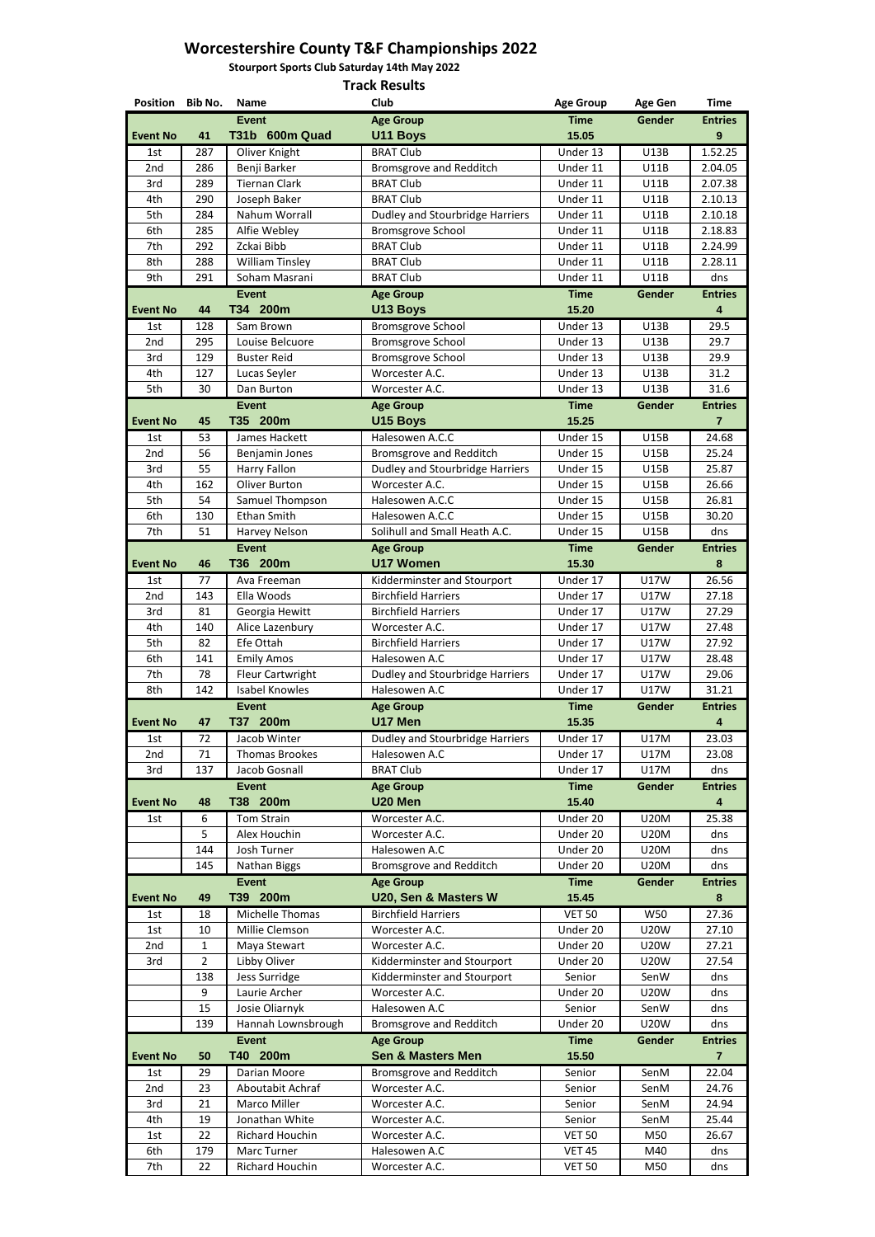**Stourport Sports Club Saturday 14th May 2022**

| Position Bib No. |                | <b>Name</b>            | Club                                   | <b>Age Group</b> | <b>Age Gen</b> | <b>Time</b>          |
|------------------|----------------|------------------------|----------------------------------------|------------------|----------------|----------------------|
|                  |                | <b>Event</b>           | <b>Age Group</b>                       | <b>Time</b>      | <b>Gender</b>  | <b>Entries</b>       |
| <b>Event No</b>  | 41             | T31b 600m Quad         | <b>U11 Boys</b>                        | 15.05            |                | 9                    |
| 1st              | 287            | Oliver Knight          | <b>BRAT Club</b>                       | Under 13         | U13B           | $\overline{1.52.25}$ |
| 2nd              | 286            | Benji Barker           | <b>Bromsgrove and Redditch</b>         | Under 11         | <b>U11B</b>    | 2.04.05              |
| 3rd              | 289            | <b>Tiernan Clark</b>   | <b>BRAT Club</b>                       | Under 11         | <b>U11B</b>    | 2.07.38              |
| 4th              | 290            | Joseph Baker           | <b>BRAT Club</b>                       | Under 11         | <b>U11B</b>    | 2.10.13              |
| 5th              | 284            | Nahum Worrall          | <b>Dudley and Stourbridge Harriers</b> | Under 11         | U11B           | 2.10.18              |
| 6th              | 285            | Alfie Webley           | <b>Bromsgrove School</b>               | Under 11         | <b>U11B</b>    | 2.18.83              |
| 7th              | 292            | Zckai Bibb             | <b>BRAT Club</b>                       | Under 11         | <b>U11B</b>    | 2.24.99              |
| 8th              | 288            | <b>William Tinsley</b> | <b>BRAT Club</b>                       | Under 11         | <b>U11B</b>    | 2.28.11              |
| 9th              | 291            | Soham Masrani          | <b>BRAT Club</b>                       | Under 11         | <b>U11B</b>    | dns                  |
|                  |                | <b>Event</b>           | <b>Age Group</b>                       | <b>Time</b>      | Gender         | <b>Entries</b>       |
| <b>Event No</b>  | 44             | T34 200m               | U13 Boys                               | 15.20            |                | 4                    |
| 1st              | 128            | Sam Brown              | <b>Bromsgrove School</b>               | Under 13         | <b>U13B</b>    | 29.5                 |
| 2nd              | 295            | Louise Belcuore        | <b>Bromsgrove School</b>               | Under 13         | <b>U13B</b>    | 29.7                 |
| 3rd              | 129            | <b>Buster Reid</b>     | <b>Bromsgrove School</b>               | Under 13         | <b>U13B</b>    | 29.9                 |
| 4th              | 127            | Lucas Seyler           | Worcester A.C.                         | Under 13         | <b>U13B</b>    | 31.2                 |
| 5th              | 30             | Dan Burton             | Worcester A.C.                         | Under 13         | <b>U13B</b>    | 31.6                 |
|                  |                | <b>Event</b>           | <b>Age Group</b>                       | <b>Time</b>      | Gender         | <b>Entries</b>       |
| <b>Event No</b>  | 45             | T35 200m               | <b>U15 Boys</b>                        | 15.25            |                | $\overline{7}$       |
| 1st              | 53             | James Hackett          | Halesowen A.C.C                        | Under 15         | <b>U15B</b>    | 24.68                |
| 2nd              | 56             | Benjamin Jones         | <b>Bromsgrove and Redditch</b>         | Under 15         | <b>U15B</b>    | 25.24                |
| 3rd              | 55             | Harry Fallon           | <b>Dudley and Stourbridge Harriers</b> | Under 15         | <b>U15B</b>    | 25.87                |
| 4th              | 162            | Oliver Burton          | Worcester A.C.                         | Under 15         | <b>U15B</b>    | 26.66                |
| 5th              | 54             | Samuel Thompson        | Halesowen A.C.C                        | Under 15         | <b>U15B</b>    | 26.81                |
| 6th              | 130            | <b>Ethan Smith</b>     | Halesowen A.C.C                        | Under 15         | <b>U15B</b>    | 30.20                |
| 7th              | 51             | Harvey Nelson          | Solihull and Small Heath A.C.          | Under 15         | <b>U15B</b>    | dns                  |
|                  |                | <b>Event</b>           | <b>Age Group</b>                       | <b>Time</b>      | Gender         | <b>Entries</b>       |
| <b>Event No</b>  | 46             | T36 200m               | <b>U17 Women</b>                       | 15.30            |                | 8                    |
| 1st              | 77             | Ava Freeman            | Kidderminster and Stourport            | Under 17         | <b>U17W</b>    | 26.56                |
| 2nd              | 143            | Ella Woods             | <b>Birchfield Harriers</b>             | Under 17         | <b>U17W</b>    | 27.18                |
| 3rd              | 81             | Georgia Hewitt         | <b>Birchfield Harriers</b>             | Under 17         | <b>U17W</b>    | 27.29                |
| 4th              | 140            | Alice Lazenbury        | Worcester A.C.                         | Under 17         | U17W           | 27.48                |
| 5th              | 82             | Efe Ottah              | <b>Birchfield Harriers</b>             | Under 17         | U17W           | 27.92                |
| 6th              | 141            | <b>Emily Amos</b>      | Halesowen A.C                          | Under 17         | <b>U17W</b>    | 28.48                |
| 7th              | 78             | Fleur Cartwright       | Dudley and Stourbridge Harriers        | Under 17         | <b>U17W</b>    | 29.06                |
| 8th              | 142            | <b>Isabel Knowles</b>  | Halesowen A.C                          | Under 17         | <b>U17W</b>    | 31.21                |
|                  |                | <b>Event</b>           | <b>Age Group</b>                       | <b>Time</b>      | Gender         | <b>Entries</b>       |
| <b>Event No</b>  | 47             | T37 200m               | U17 Men                                | 15.35            |                | 4                    |
| 1st              | 72             | Jacob Winter           | <b>Dudley and Stourbridge Harriers</b> | Under 17         | <b>U17M</b>    | 23.03                |
| 2nd              | 71             | <b>Thomas Brookes</b>  | Halesowen A.C                          | Under 17         | U17M           | 23.08                |
| 3rd              | 137            | Jacob Gosnall          | <b>BRAT Club</b>                       | Under 17         | <b>U17M</b>    | dns                  |
|                  |                | <b>Event</b>           | <b>Age Group</b>                       | <b>Time</b>      | Gender         | <b>Entries</b>       |
| <b>Event No</b>  | 48             | T38 200m               | U20 Men                                | 15.40            |                | 4                    |
| 1st              | 6              | <b>Tom Strain</b>      | Worcester A.C.                         | Under 20         | <b>U20M</b>    | 25.38                |
|                  | 5              | Alex Houchin           | Worcester A.C.                         | Under 20         | <b>U20M</b>    | dns                  |
|                  | 144            | Josh Turner            | Halesowen A.C                          | Under 20         | <b>U20M</b>    | dns                  |
|                  | 145            | Nathan Biggs           | <b>Bromsgrove and Redditch</b>         | Under 20         | <b>U20M</b>    | dns                  |
|                  |                | <b>Event</b>           | <b>Age Group</b>                       | <b>Time</b>      | Gender         | <b>Entries</b>       |
| <b>Event No</b>  | 49             | T39 200m               | U20, Sen & Masters W                   | 15.45            |                | 8                    |
| 1st              | 18             | Michelle Thomas        | <b>Birchfield Harriers</b>             | <b>VET 50</b>    | W50            | 27.36                |
| 1st              | 10             | Millie Clemson         | Worcester A.C.                         | Under 20         | <b>U20W</b>    | 27.10                |
| 2nd              | $\mathbf{1}$   | Maya Stewart           | Worcester A.C.                         | Under 20         | <b>U20W</b>    | 27.21                |
| 3rd              | $\overline{2}$ | Libby Oliver           | Kidderminster and Stourport            | Under 20         | <b>U20W</b>    | 27.54                |
|                  | 138            | Jess Surridge          | Kidderminster and Stourport            | Senior           | SenW           | dns                  |
|                  | 9              | Laurie Archer          | Worcester A.C.                         | Under 20         | <b>U20W</b>    | dns                  |
|                  | 15             | Josie Oliarnyk         | Halesowen A.C                          | Senior           | SenW           | dns                  |
|                  | 139            | Hannah Lownsbrough     | Bromsgrove and Redditch                | Under 20         | <b>U20W</b>    | dns                  |
|                  |                | <b>Event</b>           | <b>Age Group</b>                       | <b>Time</b>      | Gender         | <b>Entries</b>       |
| <b>Event No</b>  | 50             | T40 200m               | <b>Sen &amp; Masters Men</b>           | 15.50            |                | $\overline{7}$       |
| 1st.             | 29             | Darian Moore           | <b>Bromsgrove and Redditch</b>         | Senior           | SenM           | 22.04                |
| 2nd              | 23             | Aboutabit Achraf       | Worcester A.C.                         | Senior           | SenM           | 24.76                |
| 3rd              | 21             | <b>Marco Miller</b>    | Worcester A.C.                         | Senior           | SenM           | 24.94                |
| 4th              | 19             | Jonathan White         | Worcester A.C.                         | Senior           | SenM           | 25.44                |
| 1st              | 22             | Richard Houchin        | Worcester A.C.                         | <b>VET 50</b>    | M50            | 26.67                |
| 6th              | 179            | Marc Turner            | Halesowen A.C                          | <b>VET 45</b>    | M40            | dns                  |
| 7th              | 22             | Richard Houchin        | Worcester A.C.                         | <b>VET 50</b>    | M50            | dns                  |
|                  |                |                        |                                        |                  |                |                      |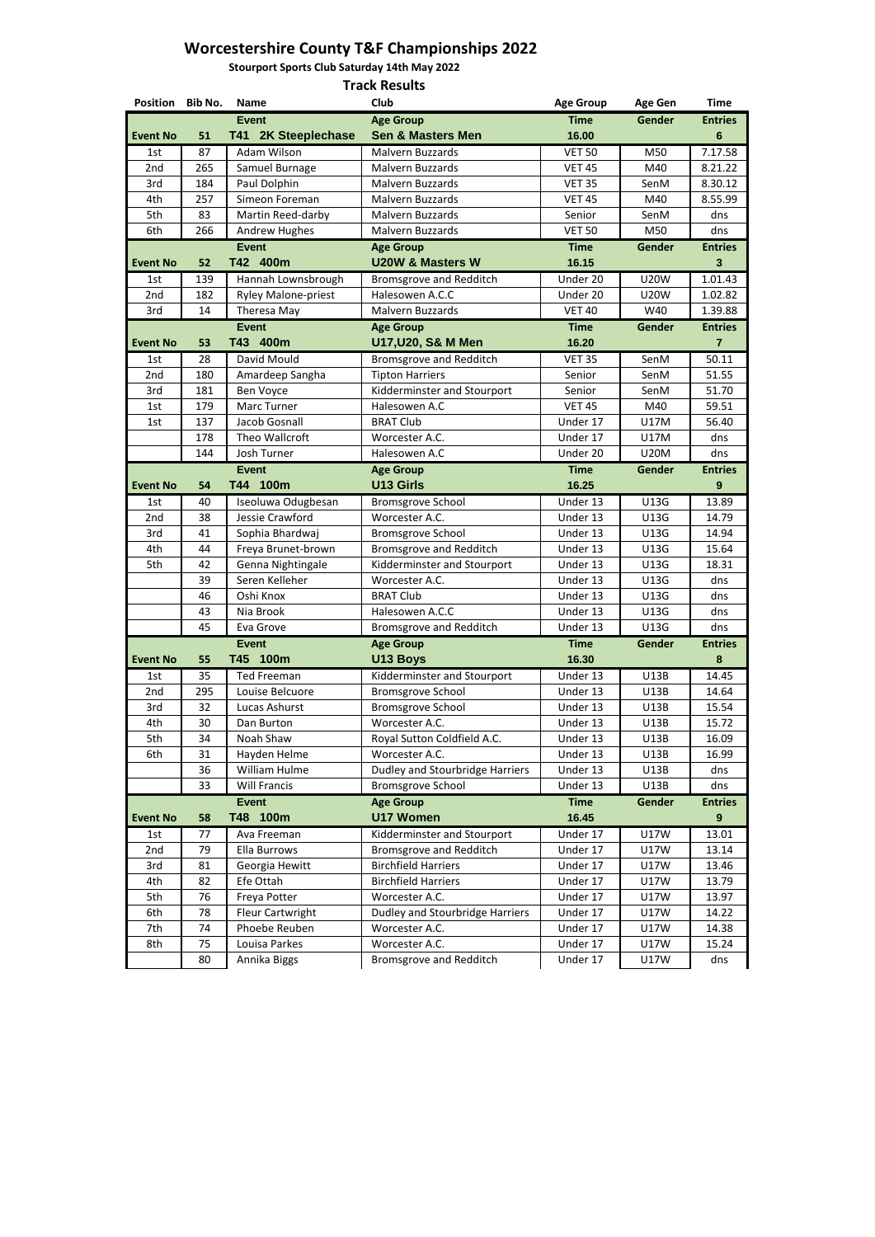**Stourport Sports Club Saturday 14th May 2022**

| <b>Event</b><br><b>Time</b><br><b>Age Group</b><br><b>Gender</b><br><b>Sen &amp; Masters Men</b><br>T41 2K Steeplechase<br>16.00<br><b>Event No</b><br>51<br><b>VET 50</b><br>87<br>Adam Wilson<br><b>Malvern Buzzards</b><br>M50<br>1st<br>2nd<br>265<br>Samuel Burnage<br><b>Malvern Buzzards</b><br><b>VET 45</b><br>M40<br><b>VET 35</b><br>3rd<br>184<br>Paul Dolphin<br>Malvern Buzzards<br>SenM<br>4th<br>Simeon Foreman<br>257<br>Malvern Buzzards<br><b>VET 45</b><br>M40<br>5th<br>Martin Reed-darby<br>83<br>Malvern Buzzards<br>Senior<br>SenM<br>266<br><b>VET 50</b><br>6th<br><b>Andrew Hughes</b><br>Malvern Buzzards<br>M50<br><b>Event</b><br><b>Time</b><br>Gender<br><b>Age Group</b><br>T42 400m<br><b>U20W &amp; Masters W</b><br>16.15<br><b>Event No</b><br>52<br>Hannah Lownsbrough<br><b>Bromsgrove and Redditch</b><br>Under 20<br><b>U20W</b><br>1st<br>139<br>2nd<br>182<br>Halesowen A.C.C<br>Under 20<br><b>Ryley Malone-priest</b><br><b>U20W</b><br>3rd<br>14<br>Theresa May<br>Malvern Buzzards<br><b>VET 40</b><br>W40 | <b>Entries</b><br>6<br>7.17.58<br>8.21.22<br>8.30.12<br>8.55.99<br>dns<br>dns<br><b>Entries</b><br>3 |
|-----------------------------------------------------------------------------------------------------------------------------------------------------------------------------------------------------------------------------------------------------------------------------------------------------------------------------------------------------------------------------------------------------------------------------------------------------------------------------------------------------------------------------------------------------------------------------------------------------------------------------------------------------------------------------------------------------------------------------------------------------------------------------------------------------------------------------------------------------------------------------------------------------------------------------------------------------------------------------------------------------------------------------------------------------------|------------------------------------------------------------------------------------------------------|
|                                                                                                                                                                                                                                                                                                                                                                                                                                                                                                                                                                                                                                                                                                                                                                                                                                                                                                                                                                                                                                                           |                                                                                                      |
|                                                                                                                                                                                                                                                                                                                                                                                                                                                                                                                                                                                                                                                                                                                                                                                                                                                                                                                                                                                                                                                           |                                                                                                      |
|                                                                                                                                                                                                                                                                                                                                                                                                                                                                                                                                                                                                                                                                                                                                                                                                                                                                                                                                                                                                                                                           |                                                                                                      |
|                                                                                                                                                                                                                                                                                                                                                                                                                                                                                                                                                                                                                                                                                                                                                                                                                                                                                                                                                                                                                                                           |                                                                                                      |
|                                                                                                                                                                                                                                                                                                                                                                                                                                                                                                                                                                                                                                                                                                                                                                                                                                                                                                                                                                                                                                                           |                                                                                                      |
|                                                                                                                                                                                                                                                                                                                                                                                                                                                                                                                                                                                                                                                                                                                                                                                                                                                                                                                                                                                                                                                           |                                                                                                      |
|                                                                                                                                                                                                                                                                                                                                                                                                                                                                                                                                                                                                                                                                                                                                                                                                                                                                                                                                                                                                                                                           |                                                                                                      |
|                                                                                                                                                                                                                                                                                                                                                                                                                                                                                                                                                                                                                                                                                                                                                                                                                                                                                                                                                                                                                                                           |                                                                                                      |
|                                                                                                                                                                                                                                                                                                                                                                                                                                                                                                                                                                                                                                                                                                                                                                                                                                                                                                                                                                                                                                                           |                                                                                                      |
|                                                                                                                                                                                                                                                                                                                                                                                                                                                                                                                                                                                                                                                                                                                                                                                                                                                                                                                                                                                                                                                           |                                                                                                      |
|                                                                                                                                                                                                                                                                                                                                                                                                                                                                                                                                                                                                                                                                                                                                                                                                                                                                                                                                                                                                                                                           | 1.01.43                                                                                              |
|                                                                                                                                                                                                                                                                                                                                                                                                                                                                                                                                                                                                                                                                                                                                                                                                                                                                                                                                                                                                                                                           | 1.02.82                                                                                              |
|                                                                                                                                                                                                                                                                                                                                                                                                                                                                                                                                                                                                                                                                                                                                                                                                                                                                                                                                                                                                                                                           | 1.39.88                                                                                              |
| <b>Event</b><br><b>Age Group</b><br><b>Time</b><br><b>Gender</b>                                                                                                                                                                                                                                                                                                                                                                                                                                                                                                                                                                                                                                                                                                                                                                                                                                                                                                                                                                                          | <b>Entries</b>                                                                                       |
| T43 400m<br>U17, U20, S& M Men<br>16.20<br><b>Event No</b><br>53                                                                                                                                                                                                                                                                                                                                                                                                                                                                                                                                                                                                                                                                                                                                                                                                                                                                                                                                                                                          | $\overline{7}$                                                                                       |
| <b>VET 35</b><br>David Mould<br><b>Bromsgrove and Redditch</b><br>SenM<br>28<br>1st                                                                                                                                                                                                                                                                                                                                                                                                                                                                                                                                                                                                                                                                                                                                                                                                                                                                                                                                                                       | 50.11                                                                                                |
| 2nd<br>180<br>Senior<br>Amardeep Sangha<br><b>Tipton Harriers</b><br>SenM                                                                                                                                                                                                                                                                                                                                                                                                                                                                                                                                                                                                                                                                                                                                                                                                                                                                                                                                                                                 | 51.55                                                                                                |
| 3rd<br>Kidderminster and Stourport<br>181<br>Ben Voyce<br>Senior<br>SenM                                                                                                                                                                                                                                                                                                                                                                                                                                                                                                                                                                                                                                                                                                                                                                                                                                                                                                                                                                                  | 51.70                                                                                                |
| <b>VET 45</b><br>179<br>Marc Turner<br>Halesowen A.C<br>M40<br>1st                                                                                                                                                                                                                                                                                                                                                                                                                                                                                                                                                                                                                                                                                                                                                                                                                                                                                                                                                                                        | 59.51                                                                                                |
| <b>BRAT Club</b><br>Jacob Gosnall<br>Under 17<br><b>U17M</b><br>1st<br>137                                                                                                                                                                                                                                                                                                                                                                                                                                                                                                                                                                                                                                                                                                                                                                                                                                                                                                                                                                                | 56.40                                                                                                |
| Under 17<br>178<br>Theo Wallcroft<br>Worcester A.C.<br>U17M                                                                                                                                                                                                                                                                                                                                                                                                                                                                                                                                                                                                                                                                                                                                                                                                                                                                                                                                                                                               | dns                                                                                                  |
| 144<br>Josh Turner<br>Halesowen A.C<br>Under 20<br><b>U20M</b>                                                                                                                                                                                                                                                                                                                                                                                                                                                                                                                                                                                                                                                                                                                                                                                                                                                                                                                                                                                            | dns                                                                                                  |
| <b>Time</b><br><b>Event</b><br>Gender<br><b>Age Group</b>                                                                                                                                                                                                                                                                                                                                                                                                                                                                                                                                                                                                                                                                                                                                                                                                                                                                                                                                                                                                 | <b>Entries</b>                                                                                       |
| T44 100m<br><b>U13 Girls</b><br>16.25<br><b>Event No</b><br>54                                                                                                                                                                                                                                                                                                                                                                                                                                                                                                                                                                                                                                                                                                                                                                                                                                                                                                                                                                                            | 9                                                                                                    |
| Under 13<br><b>U13G</b><br>1st<br>40<br>Iseoluwa Odugbesan<br><b>Bromsgrove School</b>                                                                                                                                                                                                                                                                                                                                                                                                                                                                                                                                                                                                                                                                                                                                                                                                                                                                                                                                                                    | 13.89                                                                                                |
| 2nd<br>Jessie Crawford<br>Worcester A.C.<br>38<br>Under 13<br><b>U13G</b>                                                                                                                                                                                                                                                                                                                                                                                                                                                                                                                                                                                                                                                                                                                                                                                                                                                                                                                                                                                 | 14.79                                                                                                |
| 3rd<br>Sophia Bhardwaj<br><b>Bromsgrove School</b><br>Under 13<br><b>U13G</b><br>41                                                                                                                                                                                                                                                                                                                                                                                                                                                                                                                                                                                                                                                                                                                                                                                                                                                                                                                                                                       | 14.94                                                                                                |
| Freya Brunet-brown<br><b>Bromsgrove and Redditch</b><br>Under 13<br>U13G<br>4th<br>44<br>42<br>Under 13                                                                                                                                                                                                                                                                                                                                                                                                                                                                                                                                                                                                                                                                                                                                                                                                                                                                                                                                                   | 15.64                                                                                                |
| 5th<br>Genna Nightingale<br>Kidderminster and Stourport<br><b>U13G</b><br>Worcester A.C.                                                                                                                                                                                                                                                                                                                                                                                                                                                                                                                                                                                                                                                                                                                                                                                                                                                                                                                                                                  | 18.31                                                                                                |
| 39<br>Seren Kelleher<br>Under 13<br>U13G<br>46<br><b>BRAT Club</b><br>U13G<br>Oshi Knox<br>Under 13                                                                                                                                                                                                                                                                                                                                                                                                                                                                                                                                                                                                                                                                                                                                                                                                                                                                                                                                                       | dns<br>dns                                                                                           |
| Nia Brook<br>Halesowen A.C.C<br>Under 13<br><b>U13G</b><br>43                                                                                                                                                                                                                                                                                                                                                                                                                                                                                                                                                                                                                                                                                                                                                                                                                                                                                                                                                                                             | dns                                                                                                  |
| 45<br><b>Bromsgrove and Redditch</b><br>Under 13<br>U13G<br>Eva Grove                                                                                                                                                                                                                                                                                                                                                                                                                                                                                                                                                                                                                                                                                                                                                                                                                                                                                                                                                                                     | dns                                                                                                  |
| <b>Event</b><br><b>Age Group</b><br><b>Time</b><br><b>Gender</b>                                                                                                                                                                                                                                                                                                                                                                                                                                                                                                                                                                                                                                                                                                                                                                                                                                                                                                                                                                                          | <b>Entries</b>                                                                                       |
| T45 100m<br>U13 Boys<br>16.30<br><b>Event No</b><br>55                                                                                                                                                                                                                                                                                                                                                                                                                                                                                                                                                                                                                                                                                                                                                                                                                                                                                                                                                                                                    | 8                                                                                                    |
| U13B<br>Kidderminster and Stourport<br>Under 13<br>35<br><b>Ted Freeman</b><br>1st                                                                                                                                                                                                                                                                                                                                                                                                                                                                                                                                                                                                                                                                                                                                                                                                                                                                                                                                                                        | 14.45                                                                                                |
| Under 13<br>2nd<br>295<br>Louise Belcuore<br><b>Bromsgrove School</b><br>U13B                                                                                                                                                                                                                                                                                                                                                                                                                                                                                                                                                                                                                                                                                                                                                                                                                                                                                                                                                                             | 14.64                                                                                                |
| <b>Bromsgrove School</b><br>3rd<br>32<br>Under 13<br><b>U13B</b><br>Lucas Ashurst                                                                                                                                                                                                                                                                                                                                                                                                                                                                                                                                                                                                                                                                                                                                                                                                                                                                                                                                                                         | 15.54                                                                                                |
| Worcester A.C.<br>4th<br>Dan Burton<br>Under 13<br><b>U13B</b><br>30                                                                                                                                                                                                                                                                                                                                                                                                                                                                                                                                                                                                                                                                                                                                                                                                                                                                                                                                                                                      | 15.72                                                                                                |
| Royal Sutton Coldfield A.C.<br>Under 13<br>5th<br>34<br>Noah Shaw<br>U13B                                                                                                                                                                                                                                                                                                                                                                                                                                                                                                                                                                                                                                                                                                                                                                                                                                                                                                                                                                                 | 16.09                                                                                                |
| 31<br>Worcester A.C.<br>6th<br>Hayden Helme<br>Under 13<br><b>U13B</b>                                                                                                                                                                                                                                                                                                                                                                                                                                                                                                                                                                                                                                                                                                                                                                                                                                                                                                                                                                                    | 16.99                                                                                                |
| William Hulme<br>Dudley and Stourbridge Harriers<br>Under 13<br>36<br><b>U13B</b>                                                                                                                                                                                                                                                                                                                                                                                                                                                                                                                                                                                                                                                                                                                                                                                                                                                                                                                                                                         | dns                                                                                                  |
| <b>Bromsgrove School</b><br>33<br><b>Will Francis</b><br>Under 13<br><b>U13B</b>                                                                                                                                                                                                                                                                                                                                                                                                                                                                                                                                                                                                                                                                                                                                                                                                                                                                                                                                                                          | dns                                                                                                  |
| <b>Event</b><br><b>Time</b><br><b>Age Group</b><br>Gender                                                                                                                                                                                                                                                                                                                                                                                                                                                                                                                                                                                                                                                                                                                                                                                                                                                                                                                                                                                                 | <b>Entries</b>                                                                                       |
| T48 100m<br><b>U17 Women</b><br>16.45<br><b>Event No</b><br>58                                                                                                                                                                                                                                                                                                                                                                                                                                                                                                                                                                                                                                                                                                                                                                                                                                                                                                                                                                                            | 9                                                                                                    |
| Kidderminster and Stourport<br>Under 17<br><b>U17W</b><br>77<br>Ava Freeman<br>1st                                                                                                                                                                                                                                                                                                                                                                                                                                                                                                                                                                                                                                                                                                                                                                                                                                                                                                                                                                        | 13.01                                                                                                |
| Under 17<br>2nd<br>79<br>Ella Burrows<br><b>Bromsgrove and Redditch</b><br><b>U17W</b>                                                                                                                                                                                                                                                                                                                                                                                                                                                                                                                                                                                                                                                                                                                                                                                                                                                                                                                                                                    | 13.14                                                                                                |
| <b>Birchfield Harriers</b><br>3rd<br>Under 17<br>81<br>Georgia Hewitt<br>U17W                                                                                                                                                                                                                                                                                                                                                                                                                                                                                                                                                                                                                                                                                                                                                                                                                                                                                                                                                                             | 13.46                                                                                                |
| Efe Ottah<br>Under 17<br>82<br><b>Birchfield Harriers</b><br>4th<br><b>U17W</b>                                                                                                                                                                                                                                                                                                                                                                                                                                                                                                                                                                                                                                                                                                                                                                                                                                                                                                                                                                           | 13.79                                                                                                |
| 5th<br>76<br>Freya Potter<br>Worcester A.C.<br>Under 17<br><b>U17W</b>                                                                                                                                                                                                                                                                                                                                                                                                                                                                                                                                                                                                                                                                                                                                                                                                                                                                                                                                                                                    | 13.97                                                                                                |
| Fleur Cartwright<br>6th<br>78<br>Dudley and Stourbridge Harriers<br>Under 17<br><b>U17W</b>                                                                                                                                                                                                                                                                                                                                                                                                                                                                                                                                                                                                                                                                                                                                                                                                                                                                                                                                                               | 14.22                                                                                                |
| 7th<br>74<br>Phoebe Reuben<br>Worcester A.C.<br>Under 17<br>U17W                                                                                                                                                                                                                                                                                                                                                                                                                                                                                                                                                                                                                                                                                                                                                                                                                                                                                                                                                                                          | 14.38                                                                                                |
|                                                                                                                                                                                                                                                                                                                                                                                                                                                                                                                                                                                                                                                                                                                                                                                                                                                                                                                                                                                                                                                           |                                                                                                      |
| 8th<br>Worcester A.C.<br>Under 17<br>75<br>Louisa Parkes<br>U17W<br>80<br><b>Bromsgrove and Redditch</b><br>Under 17<br><b>U17W</b>                                                                                                                                                                                                                                                                                                                                                                                                                                                                                                                                                                                                                                                                                                                                                                                                                                                                                                                       | 15.24                                                                                                |